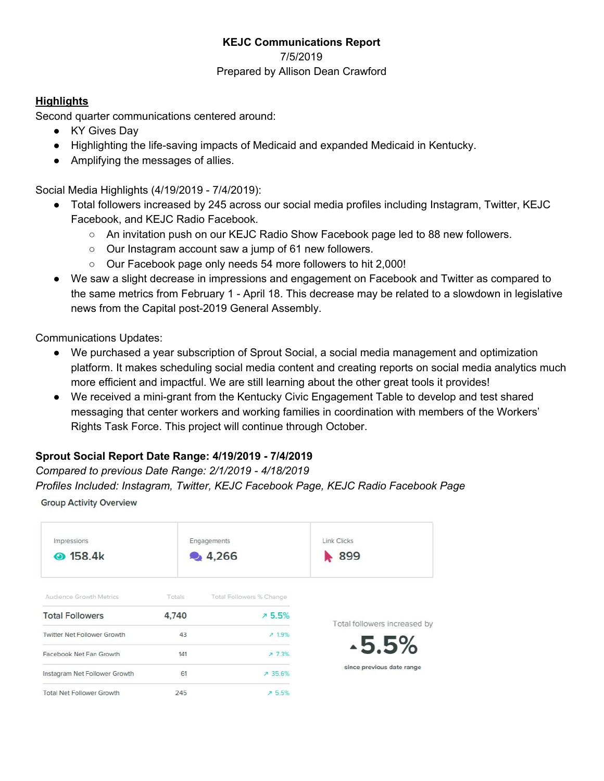# **KEJC Communications Report** 7/5/2019 Prepared by Allison Dean Crawford

## **Highlights**

Second quarter communications centered around:

- KY Gives Day
- Highlighting the life-saving impacts of Medicaid and expanded Medicaid in Kentucky.
- Amplifying the messages of allies.

Social Media Highlights (4/19/2019 - 7/4/2019):

- Total followers increased by 245 across our social media profiles including Instagram, Twitter, KEJC Facebook, and KEJC Radio Facebook.
	- An invitation push on our KEJC Radio Show Facebook page led to 88 new followers.
	- Our Instagram account saw a jump of 61 new followers.
	- Our Facebook page only needs 54 more followers to hit 2,000!
- We saw a slight decrease in impressions and engagement on Facebook and Twitter as compared to the same metrics from February 1 - April 18. This decrease may be related to a slowdown in legislative news from the Capital post-2019 General Assembly.

Communications Updates:

- We purchased a year subscription of Sprout Social, a social media management and optimization platform. It makes scheduling social media content and creating reports on social media analytics much more efficient and impactful. We are still learning about the other great tools it provides!
- We received a mini-grant from the Kentucky Civic Engagement Table to develop and test shared messaging that center workers and working families in coordination with members of the Workers' Rights Task Force. This project will continue through October.

# **Sprout Social Report Date Range: 4/19/2019 - 7/4/2019**

## *Compared to previous Date Range: 2/1/2019 - 4/18/2019*

*Profiles Included: Instagram, Twitter, KEJC Facebook Page, KEJC Radio Facebook Page*

**Group Activity Overview** 

| Impressions<br><b>@</b> 158.4k     |        | Engagements<br>• 4,266   | <b>Link Clicks</b><br>899    |
|------------------------------------|--------|--------------------------|------------------------------|
| Audience Growth Metrics            | Totals | Total Followers % Change |                              |
| <b>Total Followers</b>             | 4,740  | 75.5%                    | Total followers increased by |
| <b>Twitter Net Follower Growth</b> | 43     | 719%                     |                              |
| Facebook Net Fan Growth            | 141    | 7.73%                    | $-5.5%$                      |
| Instagram Net Follower Growth      | 61     | ₹ 35.6%                  | since previous date range    |
| <b>Total Net Follower Growth</b>   | 245    | 75.5%                    |                              |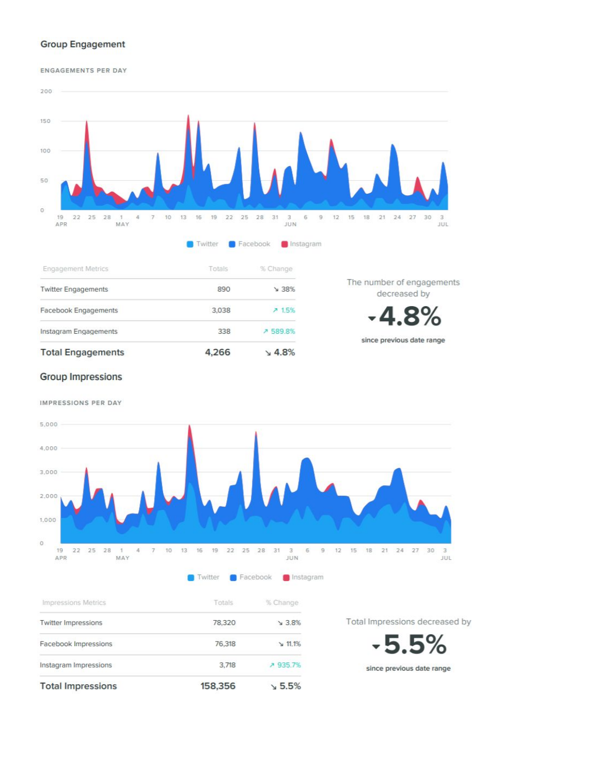## **Group Engagement**

ENGAGEMENTS PER DAY



### **Group Impressions**

IMPRESSIONS PER DAY

**Total Impressions** 



158,356

 $\sqrt{5.5\%}$ 

since previous date range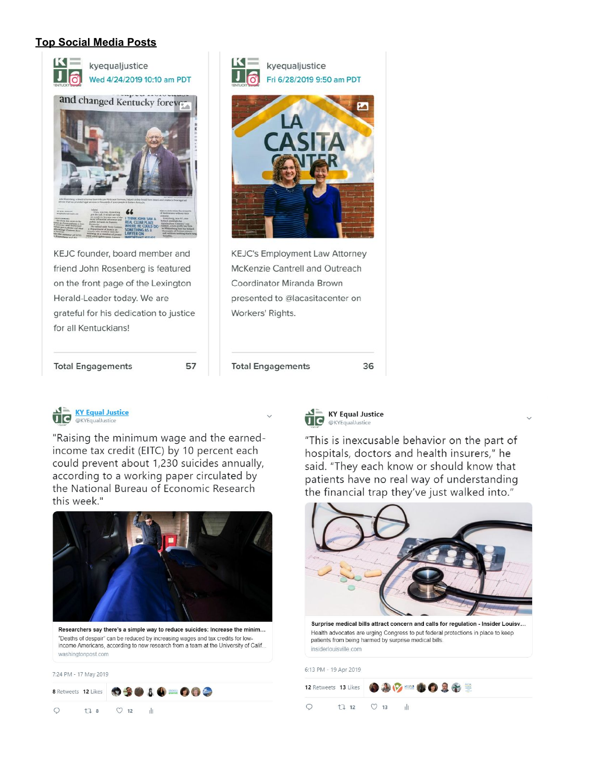## **Top Social Media Posts**





"Raising the minimum wage and the earnedincome tax credit (EITC) by 10 percent each could prevent about 1,230 suicides annually, according to a working paper circulated by the National Bureau of Economic Research this week."



Researchers say there's a simple way to reduce suicides: Increase the minim... "Deaths of despair" can be reduced by increasing wages and tax credits for lowincome Americans, according to new research from a team at the University of Calif.. washingtonpost.com

7:24 PM - 17 May 2019





36

"This is inexcusable behavior on the part of hospitals, doctors and health insurers," he said. "They each know or should know that patients have no real way of understanding the financial trap they've just walked into."